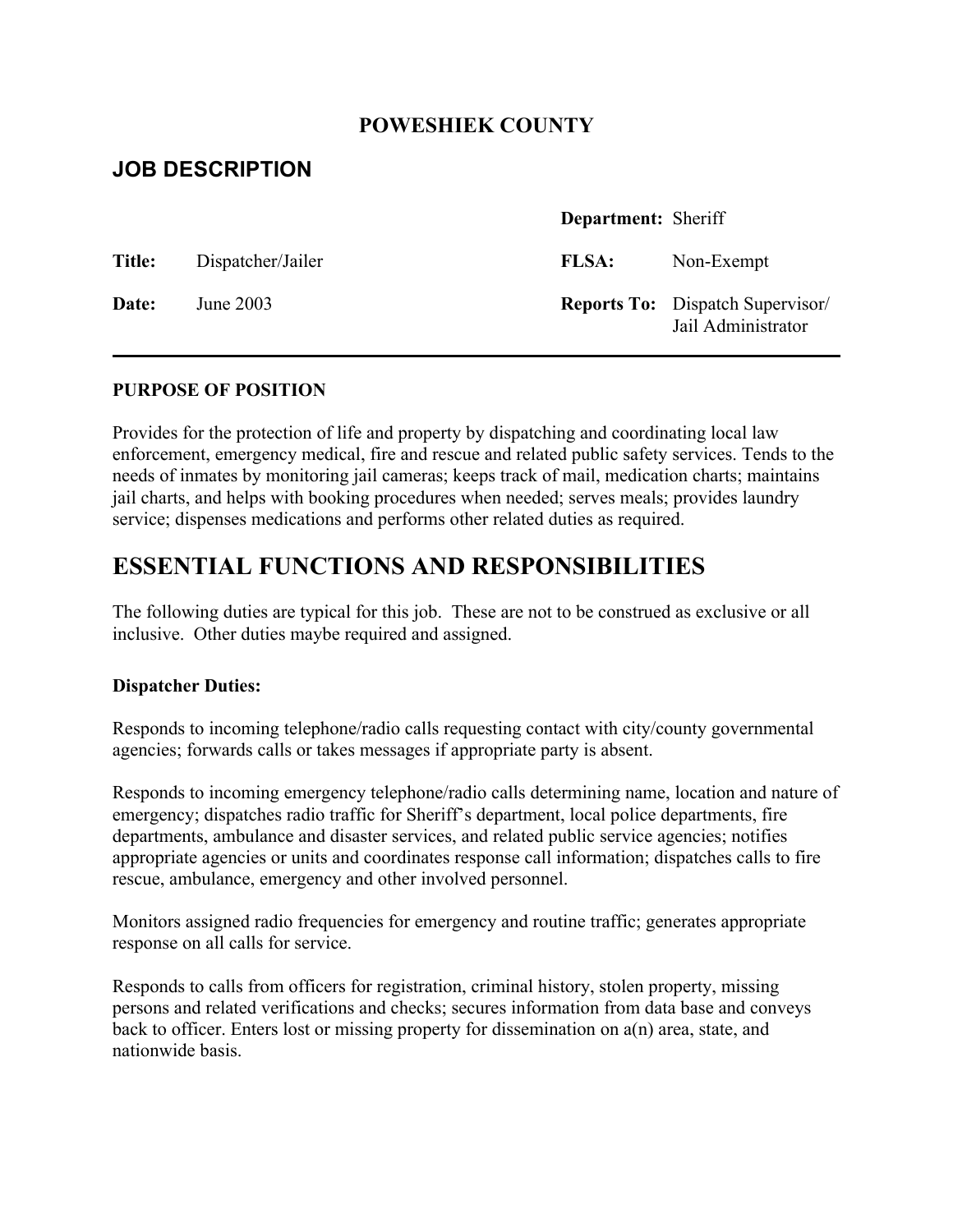## **POWESHIEK COUNTY**

# **JOB DESCRIPTION**

|               |                   | Department: Sheriff |                                                               |
|---------------|-------------------|---------------------|---------------------------------------------------------------|
| <b>Title:</b> | Dispatcher/Jailer | <b>FLSA:</b>        | Non-Exempt                                                    |
| Date:         | June 2003         |                     | <b>Reports To:</b> Dispatch Supervisor/<br>Jail Administrator |

### **PURPOSE OF POSITION**

Provides for the protection of life and property by dispatching and coordinating local law enforcement, emergency medical, fire and rescue and related public safety services. Tends to the needs of inmates by monitoring jail cameras; keeps track of mail, medication charts; maintains jail charts, and helps with booking procedures when needed; serves meals; provides laundry service; dispenses medications and performs other related duties as required.

# **ESSENTIAL FUNCTIONS AND RESPONSIBILITIES**

The following duties are typical for this job. These are not to be construed as exclusive or all inclusive. Other duties maybe required and assigned.

#### **Dispatcher Duties:**

Responds to incoming telephone/radio calls requesting contact with city/county governmental agencies; forwards calls or takes messages if appropriate party is absent.

Responds to incoming emergency telephone/radio calls determining name, location and nature of emergency; dispatches radio traffic for Sheriff's department, local police departments, fire departments, ambulance and disaster services, and related public service agencies; notifies appropriate agencies or units and coordinates response call information; dispatches calls to fire rescue, ambulance, emergency and other involved personnel.

Monitors assigned radio frequencies for emergency and routine traffic; generates appropriate response on all calls for service.

Responds to calls from officers for registration, criminal history, stolen property, missing persons and related verifications and checks; secures information from data base and conveys back to officer. Enters lost or missing property for dissemination on a(n) area, state, and nationwide basis.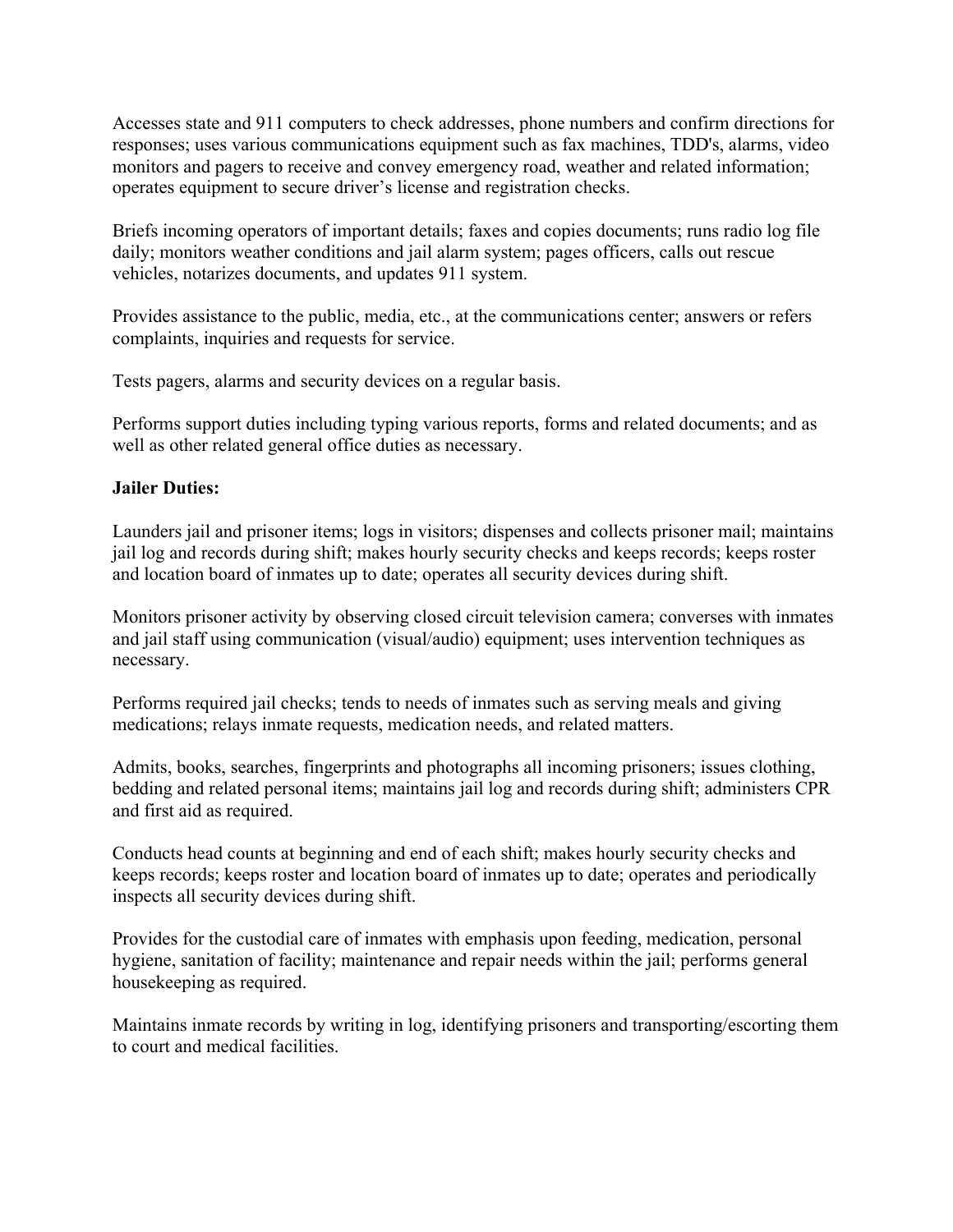Accesses state and 911 computers to check addresses, phone numbers and confirm directions for responses; uses various communications equipment such as fax machines, TDD's, alarms, video monitors and pagers to receive and convey emergency road, weather and related information; operates equipment to secure driver's license and registration checks.

Briefs incoming operators of important details; faxes and copies documents; runs radio log file daily; monitors weather conditions and jail alarm system; pages officers, calls out rescue vehicles, notarizes documents, and updates 911 system.

Provides assistance to the public, media, etc., at the communications center; answers or refers complaints, inquiries and requests for service.

Tests pagers, alarms and security devices on a regular basis.

Performs support duties including typing various reports, forms and related documents; and as well as other related general office duties as necessary.

### **Jailer Duties:**

Launders jail and prisoner items; logs in visitors; dispenses and collects prisoner mail; maintains jail log and records during shift; makes hourly security checks and keeps records; keeps roster and location board of inmates up to date; operates all security devices during shift.

Monitors prisoner activity by observing closed circuit television camera; converses with inmates and jail staff using communication (visual/audio) equipment; uses intervention techniques as necessary.

Performs required jail checks; tends to needs of inmates such as serving meals and giving medications; relays inmate requests, medication needs, and related matters.

Admits, books, searches, fingerprints and photographs all incoming prisoners; issues clothing, bedding and related personal items; maintains jail log and records during shift; administers CPR and first aid as required.

Conducts head counts at beginning and end of each shift; makes hourly security checks and keeps records; keeps roster and location board of inmates up to date; operates and periodically inspects all security devices during shift.

Provides for the custodial care of inmates with emphasis upon feeding, medication, personal hygiene, sanitation of facility; maintenance and repair needs within the jail; performs general housekeeping as required.

Maintains inmate records by writing in log, identifying prisoners and transporting/escorting them to court and medical facilities.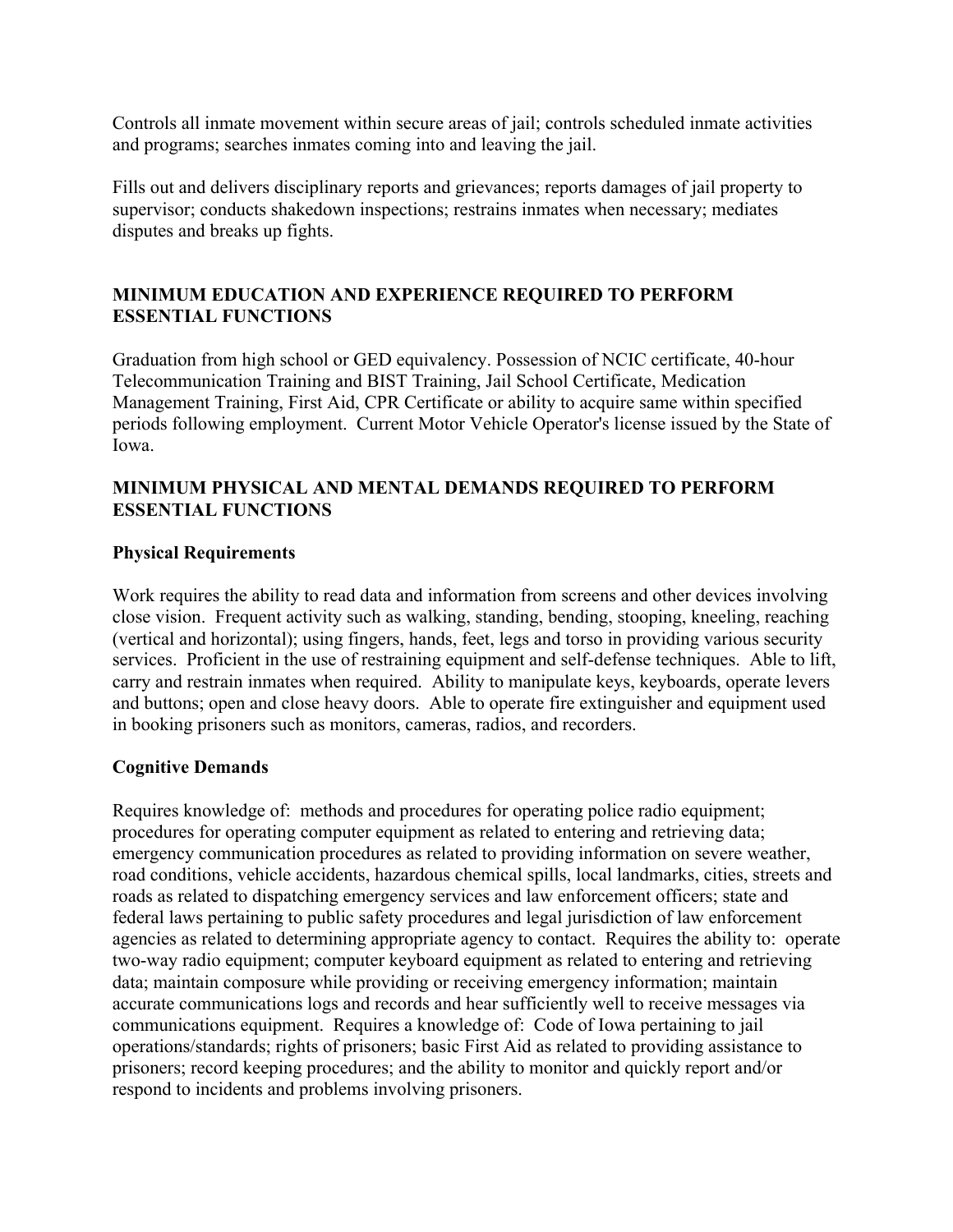Controls all inmate movement within secure areas of jail; controls scheduled inmate activities and programs; searches inmates coming into and leaving the jail.

Fills out and delivers disciplinary reports and grievances; reports damages of jail property to supervisor; conducts shakedown inspections; restrains inmates when necessary; mediates disputes and breaks up fights.

## **MINIMUM EDUCATION AND EXPERIENCE REQUIRED TO PERFORM ESSENTIAL FUNCTIONS**

Graduation from high school or GED equivalency. Possession of NCIC certificate, 40-hour Telecommunication Training and BIST Training, Jail School Certificate, Medication Management Training, First Aid, CPR Certificate or ability to acquire same within specified periods following employment. Current Motor Vehicle Operator's license issued by the State of Iowa.

### **MINIMUM PHYSICAL AND MENTAL DEMANDS REQUIRED TO PERFORM ESSENTIAL FUNCTIONS**

#### **Physical Requirements**

Work requires the ability to read data and information from screens and other devices involving close vision. Frequent activity such as walking, standing, bending, stooping, kneeling, reaching (vertical and horizontal); using fingers, hands, feet, legs and torso in providing various security services. Proficient in the use of restraining equipment and self-defense techniques. Able to lift, carry and restrain inmates when required. Ability to manipulate keys, keyboards, operate levers and buttons; open and close heavy doors. Able to operate fire extinguisher and equipment used in booking prisoners such as monitors, cameras, radios, and recorders.

#### **Cognitive Demands**

Requires knowledge of: methods and procedures for operating police radio equipment; procedures for operating computer equipment as related to entering and retrieving data; emergency communication procedures as related to providing information on severe weather, road conditions, vehicle accidents, hazardous chemical spills, local landmarks, cities, streets and roads as related to dispatching emergency services and law enforcement officers; state and federal laws pertaining to public safety procedures and legal jurisdiction of law enforcement agencies as related to determining appropriate agency to contact. Requires the ability to: operate two-way radio equipment; computer keyboard equipment as related to entering and retrieving data; maintain composure while providing or receiving emergency information; maintain accurate communications logs and records and hear sufficiently well to receive messages via communications equipment. Requires a knowledge of: Code of Iowa pertaining to jail operations/standards; rights of prisoners; basic First Aid as related to providing assistance to prisoners; record keeping procedures; and the ability to monitor and quickly report and/or respond to incidents and problems involving prisoners.